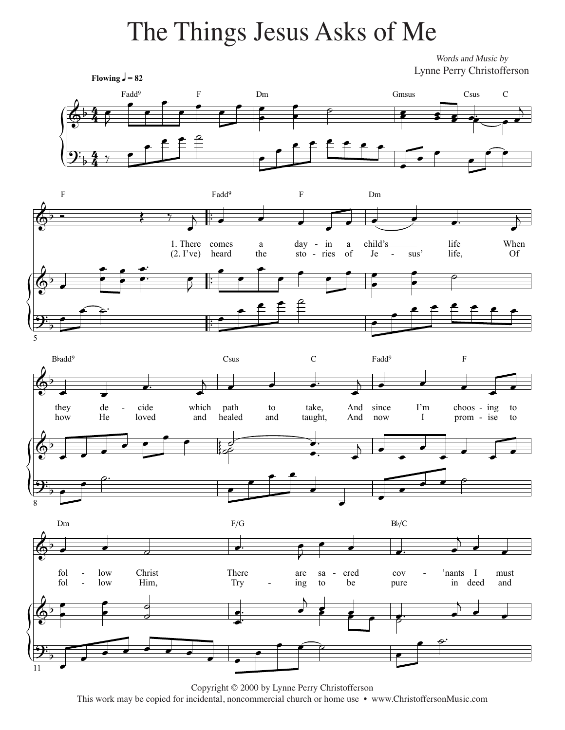## The Things Jesus Asks of Me

Words and Music by Lynne Perry Christofferson



Copyright © 2000 by Lynne Perry Christofferson This work may be copied for incidental, noncommercial church or home use • www.ChristoffersonMusic.com